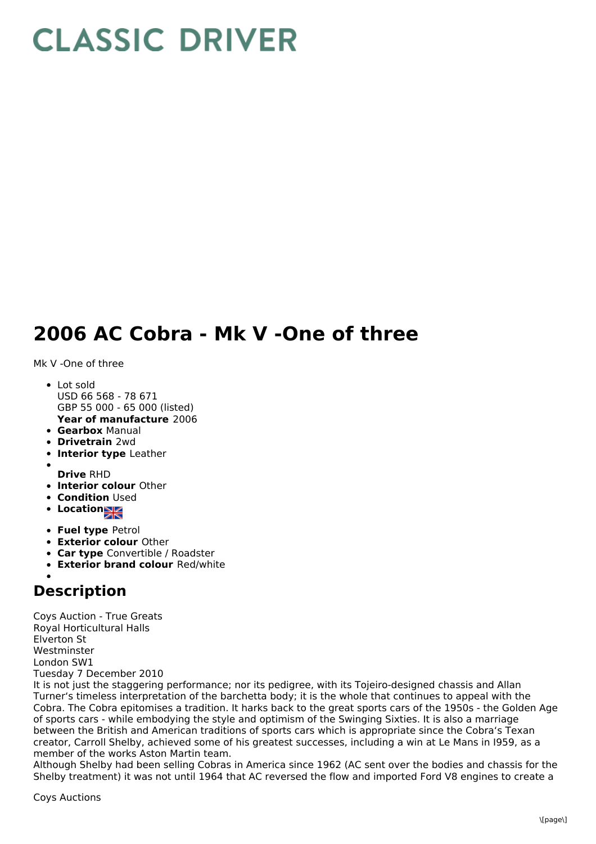## **CLASSIC DRIVER**

## **2006 AC Cobra - Mk V -One of three**

Mk V -One of three

- **Year of manufacture** 2006 • Lot sold USD 66 568 - 78 671 GBP 55 000 - 65 000 (listed)
- **Gearbox** Manual
- **Drivetrain** 2wd
- **Interior type** Leather
- 
- **Drive** RHD
- **Interior colour** Other
- **Condition Used**
- **Locations**
- **Fuel type** Petrol
- **Exterior colour** Other
- **Car type** Convertible / Roadster
- **Exterior brand colour** Red/white

## **Description**

Coys Auction - True Greats Royal Horticultural Halls Elverton St Westminster London SW1 Tuesday 7 December 2010

It is not just the staggering performance; nor its pedigree, with its Tojeiro-designed chassis and Allan Turner's timeless interpretation of the barchetta body; it is the whole that continues to appeal with the Cobra. The Cobra epitomises a tradition. It harks back to the great sports cars of the 1950s - the Golden Age of sports cars - while embodying the style and optimism of the Swinging Sixties. It is also a marriage between the British and American traditions of sports cars which is appropriate since the Cobra's Texan creator, Carroll Shelby, achieved some of his greatest successes, including a win at Le Mans in I959, as a member of the works Aston Martin team.

Although Shelby had been selling Cobras in America since 1962 (AC sent over the bodies and chassis for the Shelby treatment) it was not until 1964 that AC reversed the flow and imported Ford V8 engines to create a

Coys Auctions